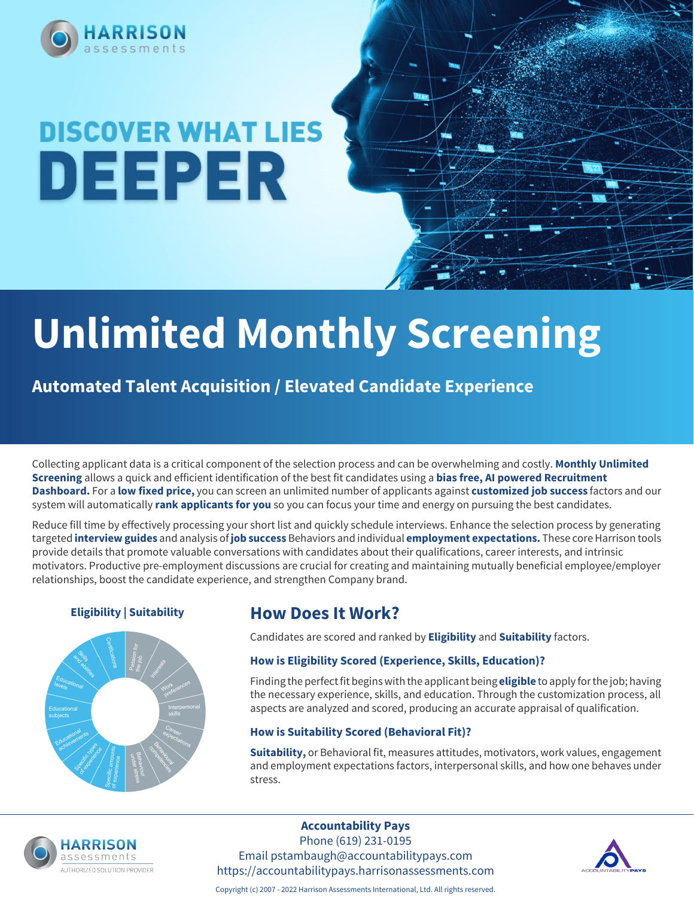

# **DISCOVER WHAT LIES** DEEPER

# **Unlimited Monthly Screening**

**Automated Talent Acquisition / Elevated Candidate Experience**

Collecting applicant data is a critical component of the selection process and can be overwhelming and costly. **Monthly Unlimited Screening** allows a quick and efficient identification of the best fit candidates using a **bias free, AI powered Recruitment Dashboard.** For a **low fixed price,** you can screen an unlimited number of applicants against **customized job success** factors and our system will automatically **rank applicants for you** so you can focus your time and energy on pursuing the best candidates.

Reduce fill time by effectively processing your short list and quickly schedule interviews. Enhance the selection process by generating targeted **interview guides** and analysis of **job success** Behaviors and individual **employment expectations.** These core Harrison tools provide details that promote valuable conversations with candidates about their qualifications, career interests, and intrinsic motivators. Productive pre-employment discussions are crucial for creating and maintaining mutually beneficial employee/employer relationships, boost the candidate experience, and strengthen Company brand.



## **Eligibility | Suitability How Does It Work?**

Candidates are scored and ranked by **Eligibility** and **Suitability** factors.

### **How is Eligibility Scored (Experience, Skills, Education)?**

Finding the perfect fit begins with the applicant being **eligible** to apply for the job; having the necessary experience, skills, and education. Through the customization process, all aspects are analyzed and scored, producing an accurate appraisal of qualification.

### **How is Suitability Scored (Behavioral Fit)?**

**Suitability,** or Behavioral fit, measures attitudes, motivators, work values, engagement and employment expectations factors, interpersonal skills, and how one behaves under stress.



### **Accountability Pays**

Phone (619) 231-0195 Email pstambaugh@accountabilitypays.com https://accountabilitypays.harrisonassessments.com